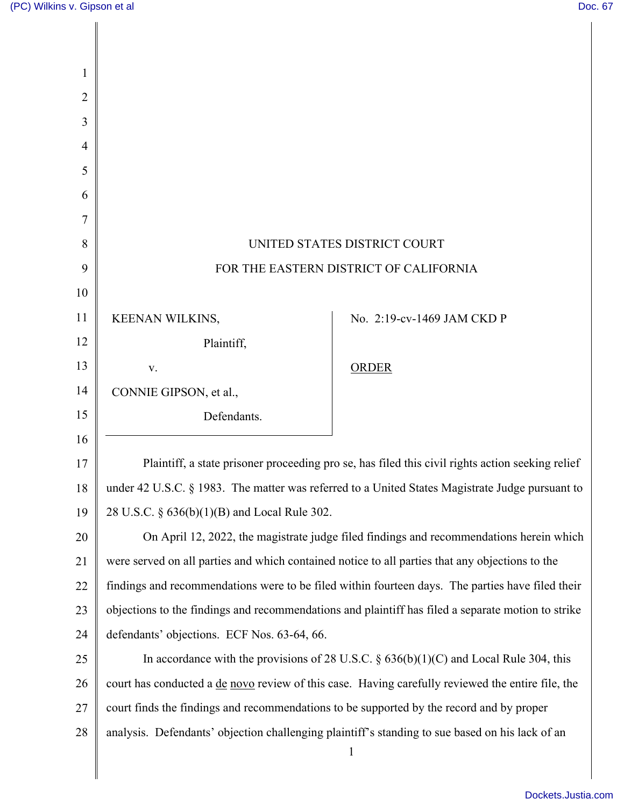| 1  |                                                                                                          |                            |
|----|----------------------------------------------------------------------------------------------------------|----------------------------|
| 2  |                                                                                                          |                            |
| 3  |                                                                                                          |                            |
| 4  |                                                                                                          |                            |
| 5  |                                                                                                          |                            |
| 6  |                                                                                                          |                            |
| 7  |                                                                                                          |                            |
| 8  | UNITED STATES DISTRICT COURT                                                                             |                            |
| 9  | FOR THE EASTERN DISTRICT OF CALIFORNIA                                                                   |                            |
| 10 |                                                                                                          |                            |
| 11 | KEENAN WILKINS,                                                                                          | No. 2:19-cv-1469 JAM CKD P |
| 12 | Plaintiff,                                                                                               |                            |
| 13 | V.                                                                                                       | <b>ORDER</b>               |
| 14 | CONNIE GIPSON, et al.,                                                                                   |                            |
| 15 | Defendants.                                                                                              |                            |
| 16 |                                                                                                          |                            |
| 17 | Plaintiff, a state prisoner proceeding pro se, has filed this civil rights action seeking relief         |                            |
| 18 | under 42 U.S.C. § 1983. The matter was referred to a United States Magistrate Judge pursuant to          |                            |
| 19 | 28 U.S.C. § 636(b)(1)(B) and Local Rule 302.                                                             |                            |
| 20 | On April 12, 2022, the magistrate judge filed findings and recommendations herein which                  |                            |
| 21 | were served on all parties and which contained notice to all parties that any objections to the          |                            |
| 22 | findings and recommendations were to be filed within fourteen days. The parties have filed their         |                            |
| 23 | objections to the findings and recommendations and plaintiff has filed a separate motion to strike       |                            |
| 24 | defendants' objections. ECF Nos. 63-64, 66.                                                              |                            |
| 25 | In accordance with the provisions of 28 U.S.C. $\S$ 636(b)(1)(C) and Local Rule 304, this                |                            |
| 26 | court has conducted a <u>de novo</u> review of this case. Having carefully reviewed the entire file, the |                            |
| 27 | court finds the findings and recommendations to be supported by the record and by proper                 |                            |
| 28 | analysis. Defendants' objection challenging plaintiff's standing to sue based on his lack of an          |                            |
|    |                                                                                                          | $\mathbf{1}$               |